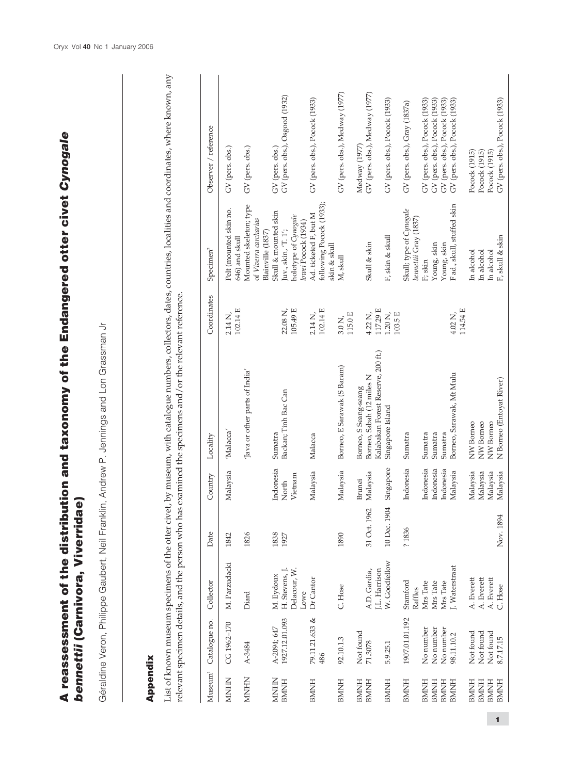| A reassessment of the distribution and taxonomy of the Endangered otter civet Cynogale<br>Viverridae<br>bennettii (Carnivora, |
|-------------------------------------------------------------------------------------------------------------------------------|
| Géraldine Veron, Philippe Gaubert, Neil Franklin, Andrew P. Jennings and Lon Grassman Jr                                      |
| Appendix                                                                                                                      |

## Appendix

List of known museum specimens of the otter civet, by museum, with catalogue numbers, collectors, dates, countries, localities and coordinates, where known, any List of known museum specimens of the otter civet, by museum, with catalogue numbers, collectors, dates, countries, localities and coordinates, where known, any relevant specimen details, and the person who has examined the specimens and/or the relevant reference. relevant specimen details, and the person who has examined the specimens and/or the relevant reference.

| $M$ useum $^1$                                            | Catalogue no.                                    | Collector                                         | Date         | Country                                      | Locality                                                        | Coordinates                 | Specimen <sup>2</sup>                                                    | Observer / reference                                                                               |
|-----------------------------------------------------------|--------------------------------------------------|---------------------------------------------------|--------------|----------------------------------------------|-----------------------------------------------------------------|-----------------------------|--------------------------------------------------------------------------|----------------------------------------------------------------------------------------------------|
| <b>MNHN</b>                                               | CG 1962-170                                      | M. Parzudacki                                     | 1842         | Malaysia                                     | 'Malacca'                                                       | 102.14 E<br>2.14 N,         | Pelt (mounted skin no.<br>646) and skull                                 | GV (pers. obs.)                                                                                    |
| <b>MNHN</b>                                               | A-3484                                           | Diard                                             | 1826         |                                              | Java or other parts of India                                    |                             | Mounted skeleton; type<br>of Viverra carcharias<br>Blainville (1837)     | GV (pers. obs.)                                                                                    |
| <b>MHNIM</b>                                              | A-2094; 647                                      | M. Eydoux                                         | 1838         | Indonesia                                    | Sumatra                                                         |                             | Skull & mounted skin                                                     | GV (pers. obs.)                                                                                    |
| <b>HININE</b>                                             | 1927.12.01.093                                   | H. Stevens, J.<br>Delacour, W.<br>Lowe            | 1927         | Vietnam<br>North                             | Backan; Tinh Bac Can                                            | 105.49 E<br>22.08 N         | holotype of Cynogale<br>lowei Pocock (1934)<br>$\rm{Juv}$ , skin, T. 1'; | GV (pers. obs.), Osgood (1932)                                                                     |
| <b>BMINH</b>                                              | 79.11.21.633 &<br>486                            | Dr Cantor                                         |              | Malaysia                                     | Malacca                                                         | 102.14 E<br>$2.14$ N,       | following Pocock (1933);<br>Ad. ticketed F, but M<br>skin & skull        | GV (pers. obs.), Pocock (1933)                                                                     |
| <b>BMNH</b>                                               | 92.10.1.3                                        | C. Hose                                           | 1890         | Malaysia                                     | Borneo, E Sarawak (S Baram)                                     | 115.0 E<br>3.0 <sub>N</sub> | M, skull                                                                 | GV (pers. obs.), Medway (1977)                                                                     |
| <b>HININE</b>                                             | Not found                                        |                                                   |              | Brunei                                       | Borneo, S Seang-seang                                           |                             |                                                                          | Medway (1977)                                                                                      |
| <b>HININB</b>                                             | 71.3078                                          | J.L. Harrison<br>A.D. Gardia,                     | 31 Oct. 1962 | Malaysia                                     | Kalabakan Forest Reserve, 200 ft.)<br>Borneo, Sabah (12 miles N | 117.29 E<br>4.22 N,         | Skull & skin                                                             | GV (pers. obs.), Medway (1977)                                                                     |
| <b>BMNH</b>                                               | 5.9.25.1                                         | W. Goodfellow                                     | 10 Dec. 1904 | Singapore                                    | Singapore Island                                                | 103.5 E<br>$1.20$ N,        | F, skin & skull                                                          | GV (pers. obs.), Pocock (1933)                                                                     |
| <b>HINDRE</b>                                             | 1907.01.01.192                                   | Stamford<br>Raffles                               | ?1836        | Indonesia                                    | Sumatra                                                         |                             | Skull; type of Cynogale<br>bennettii Gray (1837)                         | GV (pers. obs.), Gray (1837a)                                                                      |
| <b>BMNH</b><br><b>BMNH</b><br><b>HININE</b>               | No number<br>No number<br>No number              | Mrs Tate<br>Mrs Tate<br>Mrs Tate                  |              | Indonesia<br>Indonesia<br>Indonesia          | Sumatra<br>Sumatra<br>Sumatra                                   |                             | Young, skin<br>Young, skin<br>F; skin                                    | GV (pers. obs.), Pocock (1933)<br>GV (pers. obs.), Pocock (1933)<br>GV (pers. obs.), Pocock (1933) |
| <b>BMNH</b>                                               | 98.11.10.2                                       | J. Waterstraat                                    |              | Malaysia                                     | Borneo, Sarawak, Mt Mulu                                        | 114.54 E<br>4.02 N,         | Fad., skull, stuffed skin                                                | GV (pers. obs.), Pocock (1933)                                                                     |
| <b>HININE</b><br>HININB<br><b>HININE</b><br><b>HININE</b> | Not found<br>Not found<br>Not found<br>8.7.17.15 | A. Everett<br>A. Everett<br>A. Everett<br>C. Hose | Nov. 1894    | Malaysia<br>Malaysia<br>Malaysia<br>Malaysia | N Borneo (Entoyat River)<br>NW Borneo<br>NW Borneo<br>NW Borneo |                             | F, skull & skin<br>In alcohol<br>In alcohol<br>In alcohol                | GV (pers. obs.), Pocock (1933)<br>Pocock (1915)<br>Pocock (1915)<br>Pocock (1915)                  |
|                                                           |                                                  |                                                   |              |                                              |                                                                 |                             |                                                                          |                                                                                                    |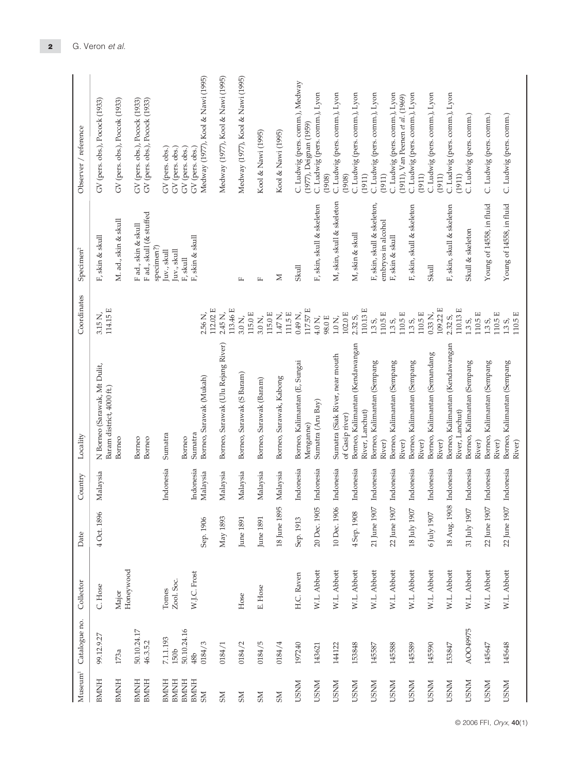| Museum <sup>1</sup> | Catalogue no.   | Collector          | Date               | Country   | Locality                                                  | Coordinates                               | Specimen <sup>2</sup>                | Observer / reference                                              |
|---------------------|-----------------|--------------------|--------------------|-----------|-----------------------------------------------------------|-------------------------------------------|--------------------------------------|-------------------------------------------------------------------|
| <b>BMNH</b>         | 99.12.9.27      | C. Hose            | 4 Oct. 1896        | Malaysia  | N Borneo (Sarawak, Mt Dulit,<br>Baram district, 4000 ft.) | 114.15 E<br>$3.15$ N,                     | F, skin & skull                      | GV (pers. obs.), Pocock (1933)                                    |
| <b>BMNH</b>         | 173a            | Honeywood<br>Major |                    |           | Borneo                                                    |                                           | M. ad., skin & skull                 | GV (pers. obs.), Poccok (1933)                                    |
| <b>HININE</b>       | 50.10.24.17     |                    |                    |           | Borneo                                                    |                                           | F ad., skin & skull                  | GV (pers. obs.), Pocock (1933)                                    |
| <b>BMNH</b>         | 46.3.5.2        |                    |                    |           | Borneo                                                    |                                           | Fad., skull (& stuffed<br>specimen?) | GV (pers. obs.), Pocock (1933)                                    |
| <b>BMNH</b>         | 7.1.1.193       | Tomes              |                    | Indonesia | Sumatra                                                   |                                           | Juv., skull                          | GV (pers. obs.)                                                   |
| <b>BMNH</b>         | 150b            | Zool. Soc.         |                    |           |                                                           |                                           | Juv., skull                          | GV (pers. obs.)                                                   |
| <b>BMNH</b>         | 50.10.24.16     |                    |                    |           | Borneo                                                    |                                           | F, skull                             | GV (pers. obs.)                                                   |
| <b>BMNH</b>         | 48 <sub>b</sub> | W.J.C. Frost       |                    | Indonesia | Sumatra                                                   |                                           | F, skin & skull                      | GV (pers. obs.)                                                   |
| <b>NS</b>           | 0184/3          |                    | Sep. 1906          | Malaysia  | Borneo, Sarawak (Mukah)                                   | 112.02 E<br>2.56 N,                       |                                      | Medway (1977), Kool & Nawi (1995)                                 |
| <b>NS</b>           | 0184/1          |                    | May 1893           | Malaysia  | Borneo, Sarawak (Ulu Rejang River)                        | 113.46 E<br>$2.45$ N,                     |                                      | Medway (1977), Kool & Nawi (1995)                                 |
| <b>NS</b>           | 0184/2          | Hose               | June 1891          | Malaysia  | Borneo, Sarawak (S Baram)                                 | 115.0 E<br>$3.0\,\mathrm{N}$ ,            | $\mathbf{L}$                         | Medway (1977), Kool & Nawi (1995)                                 |
| <b>NS</b>           | 0184/5          | E. Hose            | June 1891          | Malaysia  | Borneo, Sarawak (Baram)                                   | 115.0 E<br>$3.0 N$ ,                      | $\mathbf{L}$                         | Kool & Nawi (1995)                                                |
| SM                  | 0184/4          |                    | 18 June 1895       | Malaysia  | Borneo, Sarawak, Kabong                                   | 111.5 E<br>$1.47$ N,                      | $\geq$                               | Kool & Nawi (1995)                                                |
| <b>USNM</b>         | 197240          | H.C. Raven         | Sep. 1913          | Indonesia | Borneo, Kalimantan (E, Sungai                             | $0.49$ N,                                 | Skull                                | C. Ludwig (pers. comm.), Medway                                   |
|                     |                 |                    |                    |           | Menganne)                                                 | 117.57 E                                  |                                      | (1977), Deignan (1959)                                            |
| <b>USNM</b>         | 143621          | W.L. Abbott        | 20 Dec. 1905       | Indonesia | Sumatra (Aru Bay)                                         | $4.0$ N,<br>98.0 E                        | F, skin, skull & skeleton            | C. Ludwig (pers. comm.), Lyon<br>(1908)                           |
| <b>USNM</b>         | 144122          | W.L. Abbott        | 10 Dec. 1906       | Indonesia | Sumatra (Siak River, near mouth<br>of Gasip river)        | $102.0\,\mathrm{E}$<br>$1.0\,\mathrm{N},$ | M, skin, skull & skeleton            | C. Ludwig (pers. comm.), Lyon<br>(1908)                           |
| <b>USNM</b>         | 153848          | W.L. Abbott        | 4 Sep. 1908        | Indonesia | Borneo, Kalimantan (Kendawangan<br>River, Lanchut)        | 110.13 E<br>2.32 S,                       | M, skin & skull                      | C. Ludwig (pers. comm.), Lyon<br>(1911)                           |
| <b>USNM</b>         | 145587          | W.L. Abbott        | 21 June 1907       | Indonesia | Borneo, Kalimantan (Sempang                               | 1.35,                                     | F, skin, skull & skeleton,           | C. Ludwig (pers. comm.), Lyon                                     |
|                     |                 |                    |                    |           | River)                                                    | 110.5 E                                   | embryos in alcohol                   | (1911)                                                            |
| <b>USNM</b>         | 145588          | W.L. Abbott        | 22 June 1907       | Indonesia | Borneo, Kalimantan (Sempang<br>River)                     | $110.5 \text{ E}$<br>1.35,                | F, skin & skull                      | C. Ludwig (pers. comm.), Lyon<br>(1911), Van Peenen et al. (1969) |
| <b>USNM</b>         | 145589          | W.L. Abbott        | $18$ July $1907\,$ | Indonesia | Borneo, Kalimantan (Sempang                               | 1.35,                                     | F, skin, skull & skeleton            | C. Ludwig (pers. comm.), Lyon                                     |
| <b>USNM</b>         | 145590          | W.L. Abbott        | 6 July 1907        | Indonesia | Borneo, Kalimantan (Semandang<br>River)                   | $0.33$ N,<br>$110.5\,\mathrm{E}$          | Skull                                | C. Ludwig (pers. comm.), Lyon<br>(1911)                           |
|                     |                 |                    |                    |           | River)                                                    | 109.22 E                                  |                                      | (1911)                                                            |
| <b>USNM</b>         | 153847          | W.L. Abbott        | 18 Aug. 1908       | Indonesia | Borneo, Kalimantan (Kendawangan<br>River, Lanchut)        | 110.13 E<br>2.32 S                        | F, skin, skull & skeleton            | C. Ludwig (pers. comm.), Lyon<br>(1911)                           |
| <b>USNM</b>         | AOO49975        | W.L. Abbott        | $31$ July $1907\,$ | Indonesia | Borneo, Kalimantan (Sempang                               | 1.35,                                     | Skull & skeleton                     | C. Ludwig (pers. comm.)                                           |
| <b>USNM</b>         | 145647          | W.L. Abbott        | 22 June 1907       | Indonesia | Borneo, Kalimantan (Sempang<br>River)                     | $110.5 \text{ E}$<br>1.35,                | Young of 14558, in fluid             | C. Ludwig (pers. comm.)                                           |
| <b>USNM</b>         | 145648          | W.L. Abbott        | 22 June 1907       | Indonesia | Borneo, Kalimantan (Sempang<br>River)<br>River)           | $110.5 \text{ E}$<br>110.5 E<br>1.35,     | Young of 14558, in fluid             | C. Ludwig (pers. comm.)                                           |
|                     |                 |                    |                    |           |                                                           |                                           |                                      |                                                                   |

© 2006 FFI, Oryx, **40**(1)